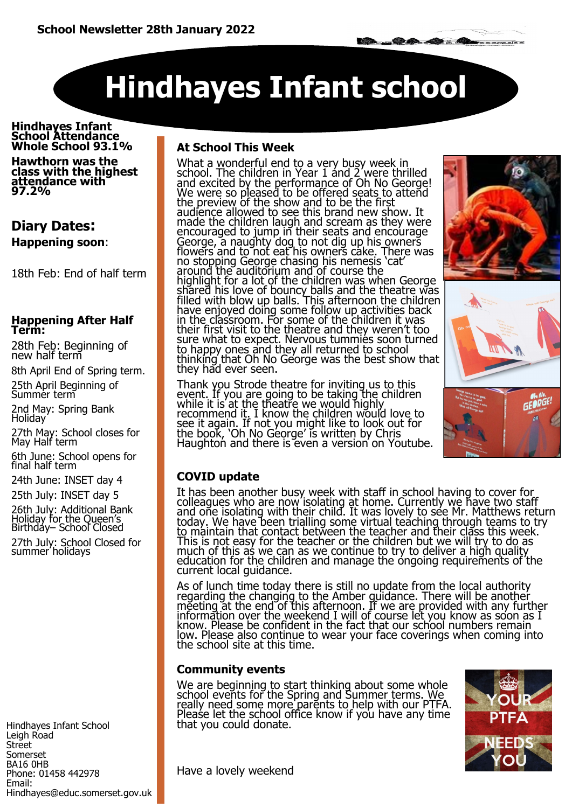# **Hindhayes Infant school**

**Hindhayes Infant School Attendance Whole School 93.1%**

**Hawthorn was the class with the highest attendance with 97.2%** 

### **Diary Dates: Happening soon**:

18th Feb: End of half term

#### **Happening After Half Term:**

28th Feb: Beginning of new half term

8th April End of Spring term.

25th April Beginning of Summer term

2nd May: Spring Bank Holiday

27th May: School closes for May Half term

6th June: School opens for final half term

24th June: INSET day 4

25th July: INSET day 5

26th July: Additional Bank Holiday for the Queen's Birthday– School Closed 27th July: School Closed for summer holidays

Hindhayes Infant School Leigh Road Street Somerset BA16 0HB Phone: 01458 442978 Email: Hindhayes@educ.somerset.gov.uk

### **At School This Week**

What a wonderful end to a very busy week in school. The children in Year 1 and 2 were thrilled and excited by the performance of Oh No George! We were so pleased to be offered seats to attend the preview of the show and to be the first audience allowed to see this brand new show. It made the children laugh and scream as they were encouraged to jump in their seats and encourage George, a naughty dog to not dig up his owners flowers and to not eat his owners cake. There was no stopping George chasing his nemesis 'cat' around the auditorium and of course the highlight for a lot of the children was when George shared his love of bouncy balls and the theatre was filled with blow up balls. This afternoon the children have enjoyed doing some follow up activities back in the classroom. For some of the children it was their first visit to the theatre and they weren't too sure what to expect. Nervous tummies soon turned to happy ones and they all returned to school thinking that Oh No George was the best show that they had ever seen.

Thank you Strode theatre for inviting us to this event. If you are going to be taking the children while it is at the theatre we would highly recommend it. I know the children would love to see it again. If not you might like to look out for the book, 'Oh No George' is written by Chris Haughton and there is even a version on Youtube.



### **COVID update**

It has been another busy week with staff in school having to cover for colleagues who are now isolating at home. Currently we have two staff and one isolating with their child. It was lovely to see Mr. Matthews return today. We have been trialling some virtual teaching through teams to try to maintain that contact between the teacher and their class this week. This is not easy for the teacher or the children but we will try to do as much of this as we can as we continue to try to deliver a high quality education for the children and manage the ongoing requirements of the current local guidance.

As of lunch time today there is still no update from the local authority regarding the changing to the Amber guidance. There will be another meeting at the end of this afternoon. If we are provided with any further information over the weekend I will of course let you know as soon as I know. Please be confident in the fact that our school numbers remain low. Please also continue to wear your face coverings when coming into the school site at this time.

### **Community events**

We are beginning to start thinking about some whole school events for the Spring and Summer terms. We really need some more parents to help with our PTFA. Please let the school office know if you have any time that you could donate.



Have a lovely weekend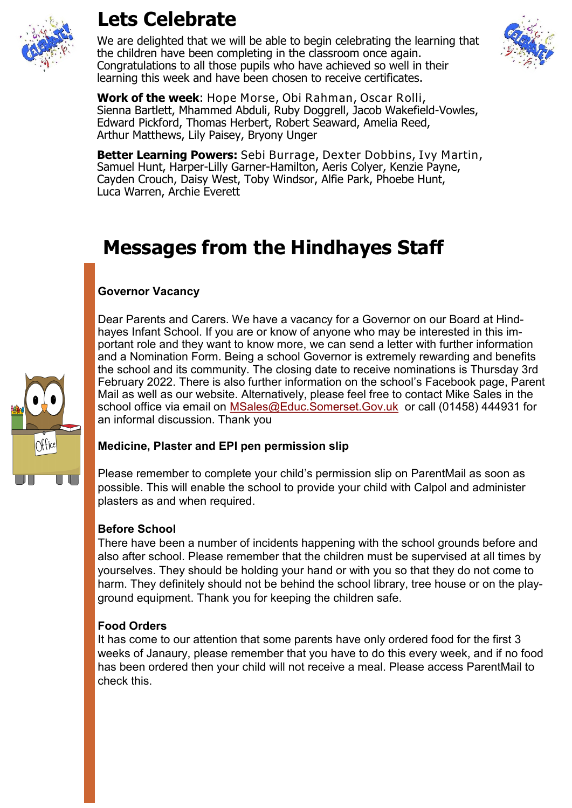

### **Lets Celebrate**

We are delighted that we will be able to begin celebrating the learning that the children have been completing in the classroom once again. Congratulations to all those pupils who have achieved so well in their learning this week and have been chosen to receive certificates.



**Work of the week**: Hope Morse, Obi Rahman, Oscar Rolli, Sienna Bartlett, Mhammed Abduli, Ruby Doggrell, Jacob Wakefield-Vowles, Edward Pickford, Thomas Herbert, Robert Seaward, Amelia Reed, Arthur Matthews, Lily Paisey, Bryony Unger

**Better Learning Powers:** Sebi Burrage, Dexter Dobbins, Ivy Martin, Samuel Hunt, Harper-Lilly Garner-Hamilton, Aeris Colyer, Kenzie Payne, Cayden Crouch, Daisy West, Toby Windsor, Alfie Park, Phoebe Hunt, Luca Warren, Archie Everett

### **Messages from the Hindhayes Staff**

### **Governor Vacancy**

Dear Parents and Carers. We have a vacancy for a Governor on our Board at Hindhayes Infant School. If you are or know of anyone who may be interested in this important role and they want to know more, we can send a letter with further information and a Nomination Form. Being a school Governor is extremely rewarding and benefits the school and its community. The closing date to receive nominations is Thursday 3rd February 2022. There is also further information on the school's Facebook page, Parent Mail as well as our website. Alternatively, please feel free to contact Mike Sales in the school office via email on [MSales@Educ.Somerset.Gov.uk](mailto:MSales@Educ.Somerset.Gov.uk) or call (01458) 444931 for an informal discussion. Thank you

### **Medicine, Plaster and EPI pen permission slip**

Please remember to complete your child's permission slip on ParentMail as soon as possible. This will enable the school to provide your child with Calpol and administer plasters as and when required.

### **Before School**

There have been a number of incidents happening with the school grounds before and also after school. Please remember that the children must be supervised at all times by yourselves. They should be holding your hand or with you so that they do not come to harm. They definitely should not be behind the school library, tree house or on the playground equipment. Thank you for keeping the children safe.

### **Food Orders**

It has come to our attention that some parents have only ordered food for the first 3 weeks of Janaury, please remember that you have to do this every week, and if no food has been ordered then your child will not receive a meal. Please access ParentMail to check this.